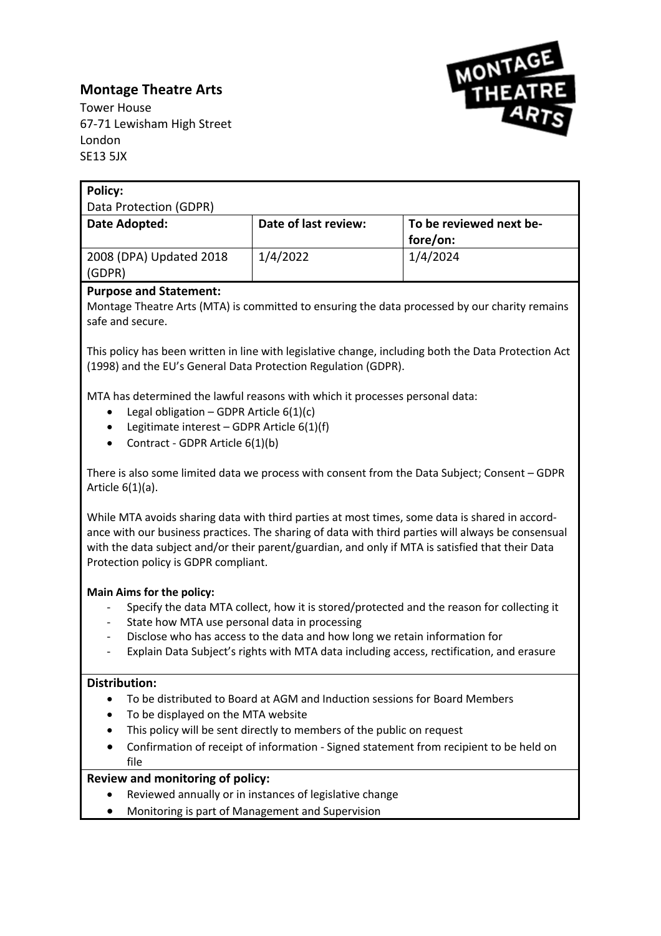# **Montage Theatre Arts**



Tower House 67-71 Lewisham High Street London SE13 5JX

| <b>Policy:</b>                                                                                                                                                                                                                                                                                                                                   |                                                                            |                                                                                          |  |
|--------------------------------------------------------------------------------------------------------------------------------------------------------------------------------------------------------------------------------------------------------------------------------------------------------------------------------------------------|----------------------------------------------------------------------------|------------------------------------------------------------------------------------------|--|
| Data Protection (GDPR)                                                                                                                                                                                                                                                                                                                           |                                                                            |                                                                                          |  |
| Date Adopted:                                                                                                                                                                                                                                                                                                                                    | Date of last review:                                                       | To be reviewed next be-                                                                  |  |
|                                                                                                                                                                                                                                                                                                                                                  |                                                                            | fore/on:                                                                                 |  |
| 2008 (DPA) Updated 2018                                                                                                                                                                                                                                                                                                                          | 1/4/2022                                                                   | 1/4/2024                                                                                 |  |
| (GDPR)                                                                                                                                                                                                                                                                                                                                           |                                                                            |                                                                                          |  |
| <b>Purpose and Statement:</b>                                                                                                                                                                                                                                                                                                                    |                                                                            |                                                                                          |  |
| Montage Theatre Arts (MTA) is committed to ensuring the data processed by our charity remains                                                                                                                                                                                                                                                    |                                                                            |                                                                                          |  |
| safe and secure.                                                                                                                                                                                                                                                                                                                                 |                                                                            |                                                                                          |  |
| This policy has been written in line with legislative change, including both the Data Protection Act<br>(1998) and the EU's General Data Protection Regulation (GDPR).                                                                                                                                                                           |                                                                            |                                                                                          |  |
| MTA has determined the lawful reasons with which it processes personal data:                                                                                                                                                                                                                                                                     |                                                                            |                                                                                          |  |
| Legal obligation - GDPR Article $6(1)(c)$<br>٠                                                                                                                                                                                                                                                                                                   |                                                                            |                                                                                          |  |
| Legitimate interest - GDPR Article 6(1)(f)                                                                                                                                                                                                                                                                                                       |                                                                            |                                                                                          |  |
| Contract - GDPR Article 6(1)(b)                                                                                                                                                                                                                                                                                                                  |                                                                            |                                                                                          |  |
|                                                                                                                                                                                                                                                                                                                                                  |                                                                            |                                                                                          |  |
| There is also some limited data we process with consent from the Data Subject; Consent - GDPR<br>Article $6(1)(a)$ .                                                                                                                                                                                                                             |                                                                            |                                                                                          |  |
| While MTA avoids sharing data with third parties at most times, some data is shared in accord-<br>ance with our business practices. The sharing of data with third parties will always be consensual<br>with the data subject and/or their parent/guardian, and only if MTA is satisfied that their Data<br>Protection policy is GDPR compliant. |                                                                            |                                                                                          |  |
| <b>Main Aims for the policy:</b>                                                                                                                                                                                                                                                                                                                 |                                                                            |                                                                                          |  |
| Specify the data MTA collect, how it is stored/protected and the reason for collecting it                                                                                                                                                                                                                                                        |                                                                            |                                                                                          |  |
| State how MTA use personal data in processing                                                                                                                                                                                                                                                                                                    |                                                                            |                                                                                          |  |
| Disclose who has access to the data and how long we retain information for                                                                                                                                                                                                                                                                       |                                                                            |                                                                                          |  |
|                                                                                                                                                                                                                                                                                                                                                  |                                                                            | Explain Data Subject's rights with MTA data including access, rectification, and erasure |  |
| <b>Distribution:</b>                                                                                                                                                                                                                                                                                                                             |                                                                            |                                                                                          |  |
| $\bullet$                                                                                                                                                                                                                                                                                                                                        | To be distributed to Board at AGM and Induction sessions for Board Members |                                                                                          |  |
| To be displayed on the MTA website<br>$\bullet$                                                                                                                                                                                                                                                                                                  |                                                                            |                                                                                          |  |
|                                                                                                                                                                                                                                                                                                                                                  | This policy will be sent directly to members of the public on request      |                                                                                          |  |
|                                                                                                                                                                                                                                                                                                                                                  |                                                                            | Confirmation of receipt of information - Signed statement from recipient to be held on   |  |
| file                                                                                                                                                                                                                                                                                                                                             |                                                                            |                                                                                          |  |
| Review and monitoring of policy:                                                                                                                                                                                                                                                                                                                 |                                                                            |                                                                                          |  |
|                                                                                                                                                                                                                                                                                                                                                  | Reviewed annually or in instances of legislative change                    |                                                                                          |  |
|                                                                                                                                                                                                                                                                                                                                                  | Monitoring is part of Management and Supervision                           |                                                                                          |  |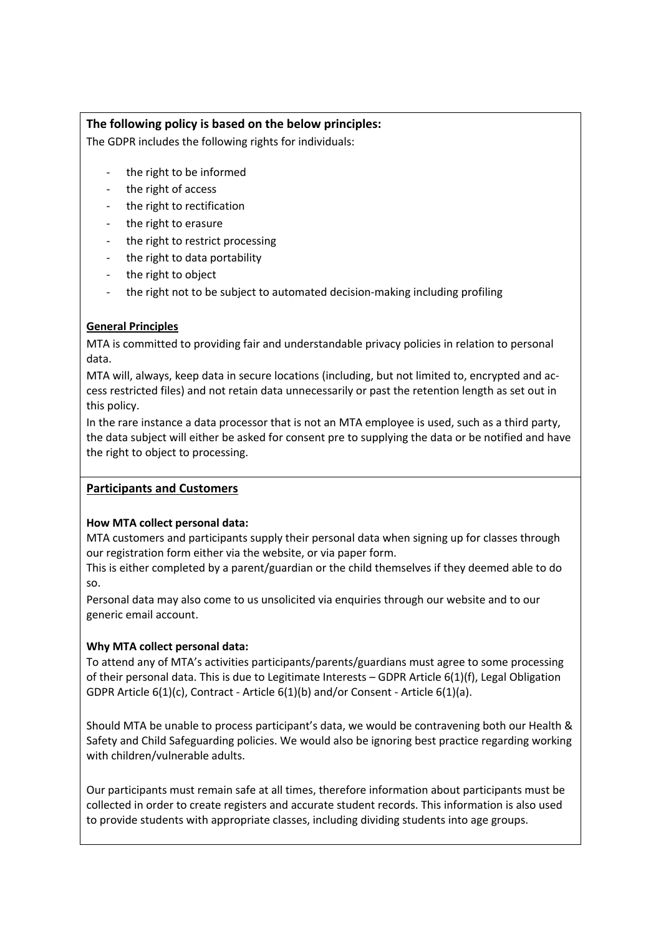# **The following policy is based on the below principles:**

The GDPR includes the following rights for individuals:

- the right to be informed
- the right of access
- the right to rectification
- the right to erasure
- the right to restrict processing
- the right to data portability
- the right to object
- the right not to be subject to automated decision-making including profiling

# **General Principles**

MTA is committed to providing fair and understandable privacy policies in relation to personal data.

MTA will, always, keep data in secure locations (including, but not limited to, encrypted and access restricted files) and not retain data unnecessarily or past the retention length as set out in this policy.

In the rare instance a data processor that is not an MTA employee is used, such as a third party, the data subject will either be asked for consent pre to supplying the data or be notified and have the right to object to processing.

#### **Participants and Customers**

#### **How MTA collect personal data:**

MTA customers and participants supply their personal data when signing up for classes through our registration form either via the website, or via paper form.

This is either completed by a parent/guardian or the child themselves if they deemed able to do so.

Personal data may also come to us unsolicited via enquiries through our website and to our generic email account.

#### **Why MTA collect personal data:**

To attend any of MTA's activities participants/parents/guardians must agree to some processing of their personal data. This is due to Legitimate Interests – GDPR Article 6(1)(f), Legal Obligation GDPR Article 6(1)(c), Contract - Article 6(1)(b) and/or Consent - Article 6(1)(a).

Should MTA be unable to process participant's data, we would be contravening both our Health & Safety and Child Safeguarding policies. We would also be ignoring best practice regarding working with children/vulnerable adults.

Our participants must remain safe at all times, therefore information about participants must be collected in order to create registers and accurate student records. This information is also used to provide students with appropriate classes, including dividing students into age groups.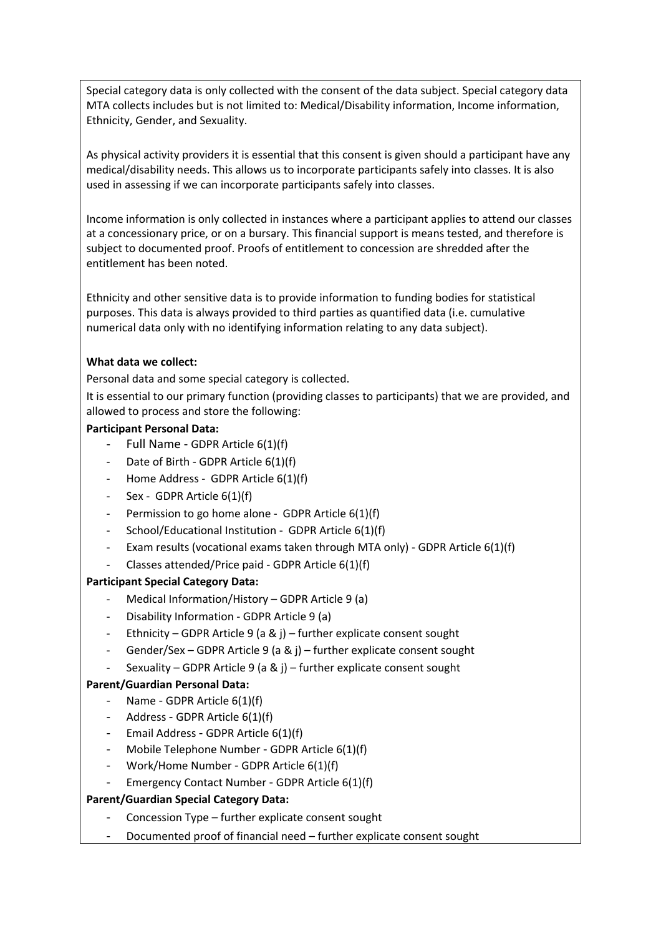Special category data is only collected with the consent of the data subject. Special category data MTA collects includes but is not limited to: Medical/Disability information, Income information, Ethnicity, Gender, and Sexuality.

As physical activity providers it is essential that this consent is given should a participant have any medical/disability needs. This allows us to incorporate participants safely into classes. It is also used in assessing if we can incorporate participants safely into classes.

Income information is only collected in instances where a participant applies to attend our classes at a concessionary price, or on a bursary. This financial support is means tested, and therefore is subject to documented proof. Proofs of entitlement to concession are shredded after the entitlement has been noted.

Ethnicity and other sensitive data is to provide information to funding bodies for statistical purposes. This data is always provided to third parties as quantified data (i.e. cumulative numerical data only with no identifying information relating to any data subject).

#### **What data we collect:**

Personal data and some special category is collected.

It is essential to our primary function (providing classes to participants) that we are provided, and allowed to process and store the following:

#### **Participant Personal Data:**

- Full Name GDPR Article 6(1)(f)
- Date of Birth GDPR Article 6(1)(f)
- Home Address GDPR Article 6(1)(f)
- Sex GDPR Article 6(1)(f)
- Permission to go home alone GDPR Article 6(1)(f)
- School/Educational Institution GDPR Article 6(1)(f)
- Exam results (vocational exams taken through MTA only) GDPR Article 6(1)(f)
- Classes attended/Price paid GDPR Article 6(1)(f)

#### **Participant Special Category Data:**

- Medical Information/History GDPR Article 9 (a)
- Disability Information GDPR Article 9 (a)
- Ethnicity GDPR Article 9 (a & j) further explicate consent sought
- Gender/Sex GDPR Article 9 (a & j) further explicate consent sought
- Sexuality GDPR Article 9 (a & j) further explicate consent sought

#### **Parent/Guardian Personal Data:**

- Name GDPR Article 6(1)(f)
- Address GDPR Article 6(1)(f)
- Email Address GDPR Article 6(1)(f)
- Mobile Telephone Number GDPR Article 6(1)(f)
- Work/Home Number GDPR Article 6(1)(f)
- Emergency Contact Number GDPR Article 6(1)(f)

#### **Parent/Guardian Special Category Data:**

- Concession Type further explicate consent sought
- Documented proof of financial need further explicate consent sought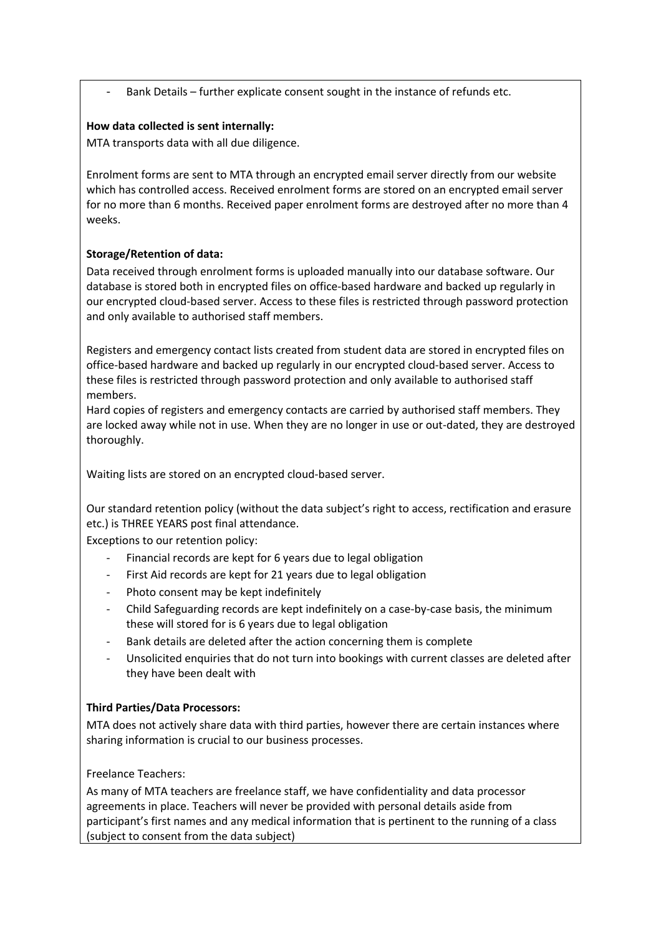Bank Details – further explicate consent sought in the instance of refunds etc.

### **How data collected is sent internally:**

MTA transports data with all due diligence.

Enrolment forms are sent to MTA through an encrypted email server directly from our website which has controlled access. Received enrolment forms are stored on an encrypted email server for no more than 6 months. Received paper enrolment forms are destroyed after no more than 4 weeks.

# **Storage/Retention of data:**

Data received through enrolment forms is uploaded manually into our database software. Our database is stored both in encrypted files on office-based hardware and backed up regularly in our encrypted cloud-based server. Access to these files is restricted through password protection and only available to authorised staff members.

Registers and emergency contact lists created from student data are stored in encrypted files on office-based hardware and backed up regularly in our encrypted cloud-based server. Access to these files is restricted through password protection and only available to authorised staff members.

Hard copies of registers and emergency contacts are carried by authorised staff members. They are locked away while not in use. When they are no longer in use or out-dated, they are destroyed thoroughly.

Waiting lists are stored on an encrypted cloud-based server.

Our standard retention policy (without the data subject's right to access, rectification and erasure etc.) is THREE YEARS post final attendance.

Exceptions to our retention policy:

- Financial records are kept for 6 years due to legal obligation
- First Aid records are kept for 21 years due to legal obligation
- Photo consent may be kept indefinitely
- Child Safeguarding records are kept indefinitely on a case-by-case basis, the minimum these will stored for is 6 years due to legal obligation
- Bank details are deleted after the action concerning them is complete
- Unsolicited enquiries that do not turn into bookings with current classes are deleted after they have been dealt with

# **Third Parties/Data Processors:**

MTA does not actively share data with third parties, however there are certain instances where sharing information is crucial to our business processes.

Freelance Teachers:

As many of MTA teachers are freelance staff, we have confidentiality and data processor agreements in place. Teachers will never be provided with personal details aside from participant's first names and any medical information that is pertinent to the running of a class (subject to consent from the data subject)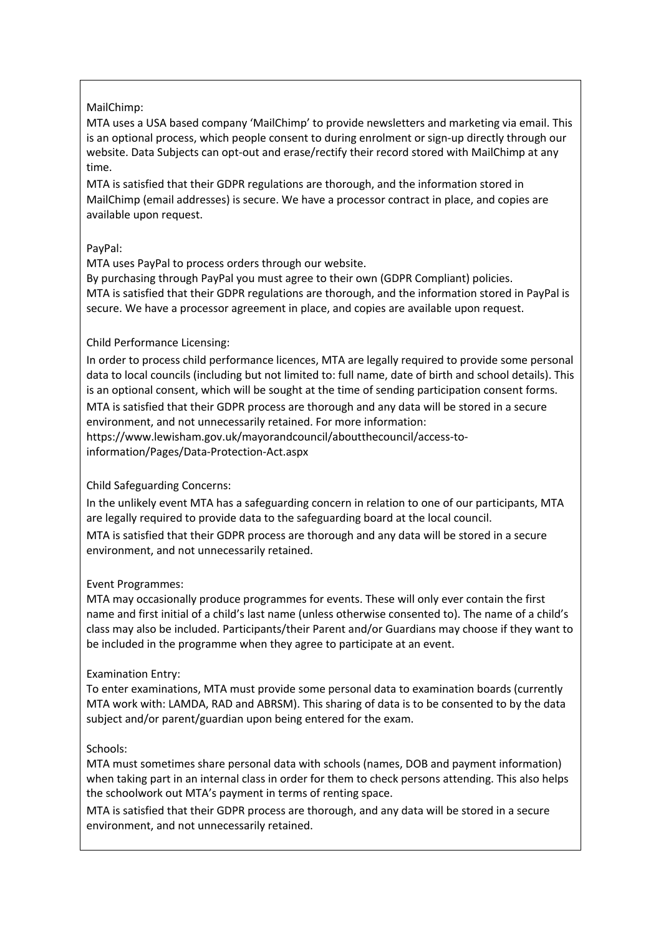#### MailChimp:

MTA uses a USA based company 'MailChimp' to provide newsletters and marketing via email. This is an optional process, which people consent to during enrolment or sign-up directly through our website. Data Subjects can opt-out and erase/rectify their record stored with MailChimp at any time.

MTA is satisfied that their GDPR regulations are thorough, and the information stored in MailChimp (email addresses) is secure. We have a processor contract in place, and copies are available upon request.

# PayPal:

MTA uses PayPal to process orders through our website.

By purchasing through PayPal you must agree to their own (GDPR Compliant) policies. MTA is satisfied that their GDPR regulations are thorough, and the information stored in PayPal is secure. We have a processor agreement in place, and copies are available upon request.

# Child Performance Licensing:

In order to process child performance licences, MTA are legally required to provide some personal data to local councils (including but not limited to: full name, date of birth and school details). This is an optional consent, which will be sought at the time of sending participation consent forms. MTA is satisfied that their GDPR process are thorough and any data will be stored in a secure environment, and not unnecessarily retained. For more information: https://www.lewisham.gov.uk/mayorandcouncil/aboutthecouncil/access-toinformation/Pages/Data-Protection-Act.aspx

# Child Safeguarding Concerns:

In the unlikely event MTA has a safeguarding concern in relation to one of our participants, MTA are legally required to provide data to the safeguarding board at the local council.

MTA is satisfied that their GDPR process are thorough and any data will be stored in a secure environment, and not unnecessarily retained.

#### Event Programmes:

MTA may occasionally produce programmes for events. These will only ever contain the first name and first initial of a child's last name (unless otherwise consented to). The name of a child's class may also be included. Participants/their Parent and/or Guardians may choose if they want to be included in the programme when they agree to participate at an event.

#### Examination Entry:

To enter examinations, MTA must provide some personal data to examination boards (currently MTA work with: LAMDA, RAD and ABRSM). This sharing of data is to be consented to by the data subject and/or parent/guardian upon being entered for the exam.

#### Schools:

MTA must sometimes share personal data with schools (names, DOB and payment information) when taking part in an internal class in order for them to check persons attending. This also helps the schoolwork out MTA's payment in terms of renting space.

MTA is satisfied that their GDPR process are thorough, and any data will be stored in a secure environment, and not unnecessarily retained.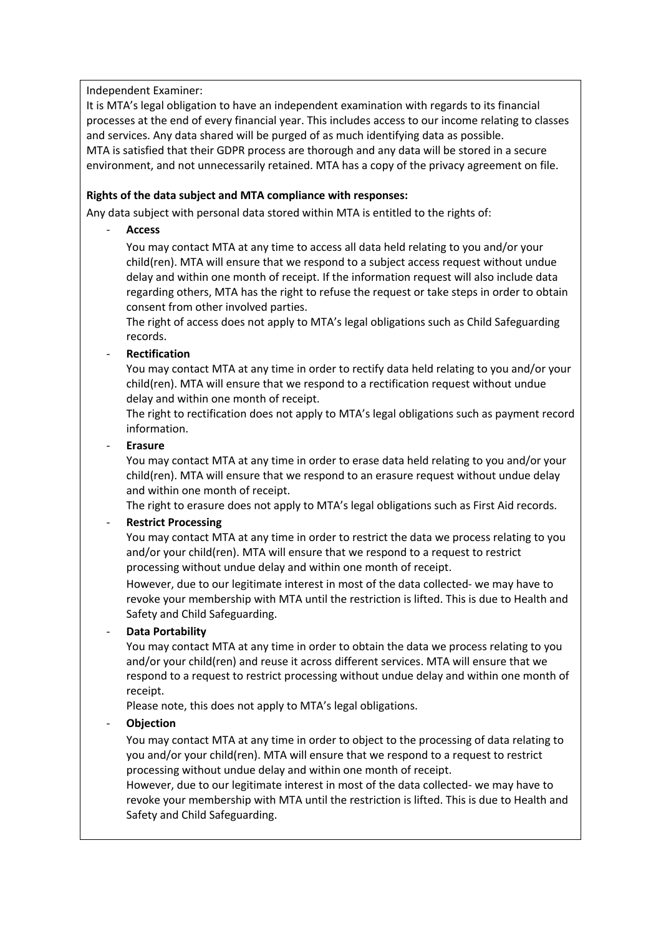Independent Examiner:

It is MTA's legal obligation to have an independent examination with regards to its financial processes at the end of every financial year. This includes access to our income relating to classes and services. Any data shared will be purged of as much identifying data as possible. MTA is satisfied that their GDPR process are thorough and any data will be stored in a secure environment, and not unnecessarily retained. MTA has a copy of the privacy agreement on file.

#### **Rights of the data subject and MTA compliance with responses:**

Any data subject with personal data stored within MTA is entitled to the rights of:

- **Access** 

You may contact MTA at any time to access all data held relating to you and/or your child(ren). MTA will ensure that we respond to a subject access request without undue delay and within one month of receipt. If the information request will also include data regarding others, MTA has the right to refuse the request or take steps in order to obtain consent from other involved parties.

The right of access does not apply to MTA's legal obligations such as Child Safeguarding records.

# - **Rectification**

You may contact MTA at any time in order to rectify data held relating to you and/or your child(ren). MTA will ensure that we respond to a rectification request without undue delay and within one month of receipt.

The right to rectification does not apply to MTA's legal obligations such as payment record information.

- **Erasure**

You may contact MTA at any time in order to erase data held relating to you and/or your child(ren). MTA will ensure that we respond to an erasure request without undue delay and within one month of receipt.

The right to erasure does not apply to MTA's legal obligations such as First Aid records.

#### - **Restrict Processing**

You may contact MTA at any time in order to restrict the data we process relating to you and/or your child(ren). MTA will ensure that we respond to a request to restrict processing without undue delay and within one month of receipt.

However, due to our legitimate interest in most of the data collected- we may have to revoke your membership with MTA until the restriction is lifted. This is due to Health and Safety and Child Safeguarding.

#### - **Data Portability**

You may contact MTA at any time in order to obtain the data we process relating to you and/or your child(ren) and reuse it across different services. MTA will ensure that we respond to a request to restrict processing without undue delay and within one month of receipt.

Please note, this does not apply to MTA's legal obligations.

#### - **Objection**

You may contact MTA at any time in order to object to the processing of data relating to you and/or your child(ren). MTA will ensure that we respond to a request to restrict processing without undue delay and within one month of receipt.

However, due to our legitimate interest in most of the data collected- we may have to revoke your membership with MTA until the restriction is lifted. This is due to Health and Safety and Child Safeguarding.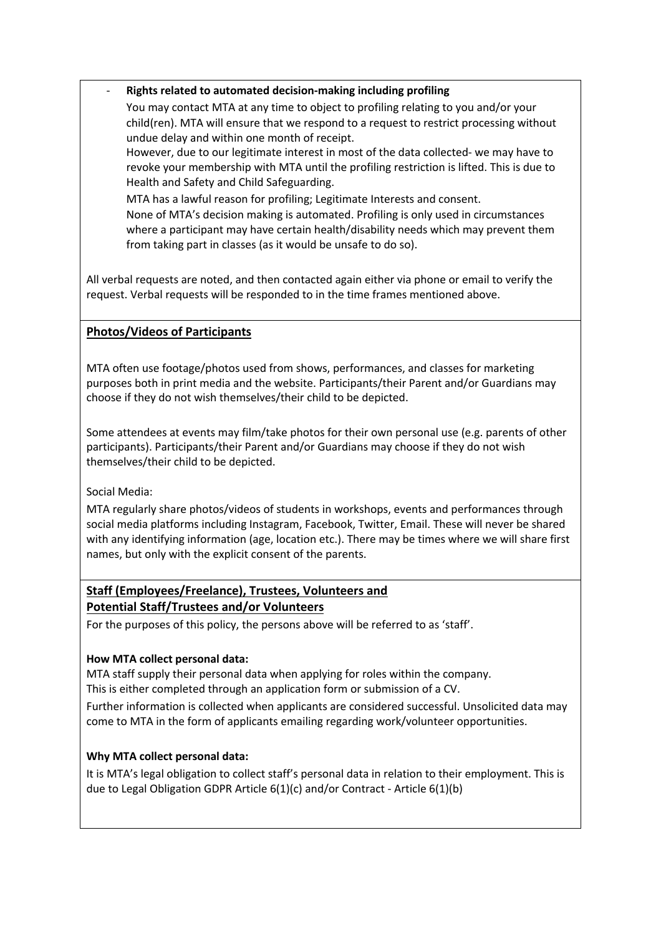- **Rights related to automated decision-making including profiling**

You may contact MTA at any time to object to profiling relating to you and/or your child(ren). MTA will ensure that we respond to a request to restrict processing without undue delay and within one month of receipt.

However, due to our legitimate interest in most of the data collected- we may have to revoke your membership with MTA until the profiling restriction is lifted. This is due to Health and Safety and Child Safeguarding.

MTA has a lawful reason for profiling; Legitimate Interests and consent. None of MTA's decision making is automated. Profiling is only used in circumstances where a participant may have certain health/disability needs which may prevent them from taking part in classes (as it would be unsafe to do so).

All verbal requests are noted, and then contacted again either via phone or email to verify the request. Verbal requests will be responded to in the time frames mentioned above.

# **Photos/Videos of Participants**

MTA often use footage/photos used from shows, performances, and classes for marketing purposes both in print media and the website. Participants/their Parent and/or Guardians may choose if they do not wish themselves/their child to be depicted.

Some attendees at events may film/take photos for their own personal use (e.g. parents of other participants). Participants/their Parent and/or Guardians may choose if they do not wish themselves/their child to be depicted.

Social Media:

MTA regularly share photos/videos of students in workshops, events and performances through social media platforms including Instagram, Facebook, Twitter, Email. These will never be shared with any identifying information (age, location etc.). There may be times where we will share first names, but only with the explicit consent of the parents.

# **Staff (Employees/Freelance), Trustees, Volunteers and Potential Staff/Trustees and/or Volunteers**

For the purposes of this policy, the persons above will be referred to as 'staff'.

#### **How MTA collect personal data:**

MTA staff supply their personal data when applying for roles within the company.

This is either completed through an application form or submission of a CV.

Further information is collected when applicants are considered successful. Unsolicited data may come to MTA in the form of applicants emailing regarding work/volunteer opportunities.

#### **Why MTA collect personal data:**

It is MTA's legal obligation to collect staff's personal data in relation to their employment. This is due to Legal Obligation GDPR Article 6(1)(c) and/or Contract - Article 6(1)(b)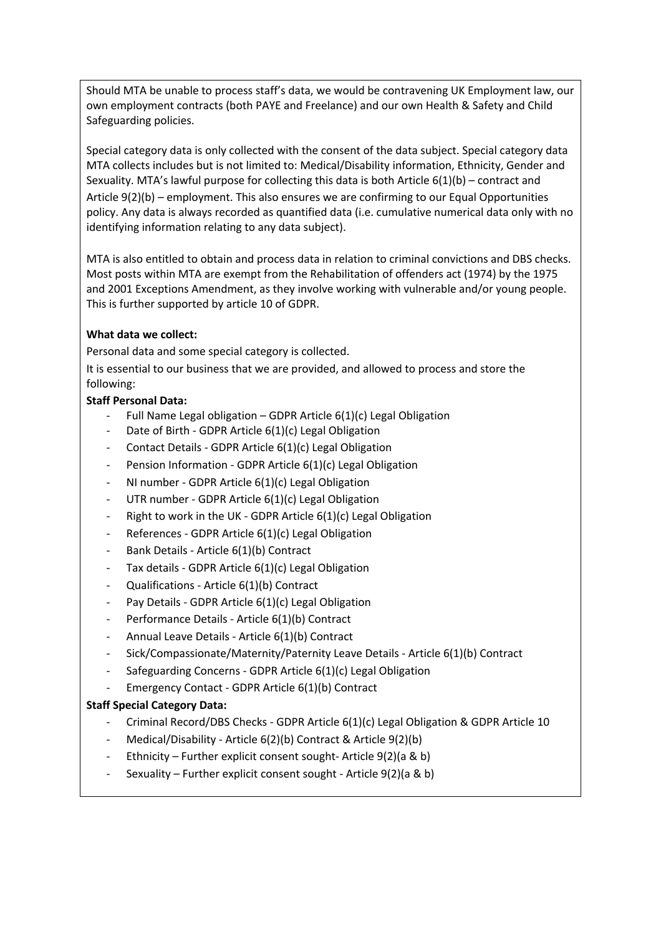Should MTA be unable to process staff's data, we would be contravening UK Employment law, our own employment contracts (both PAYE and Freelance) and our own Health & Safety and Child Safeguarding policies.

Special category data is only collected with the consent of the data subject. Special category data MTA collects includes but is not limited to: Medical/Disability information, Ethnicity, Gender and Sexuality. MTA's lawful purpose for collecting this data is both Article 6(1)(b) – contract and Article 9(2)(b) – employment. This also ensures we are confirming to our Equal Opportunities policy. Any data is always recorded as quantified data (i.e. cumulative numerical data only with no identifying information relating to any data subject).

MTA is also entitled to obtain and process data in relation to criminal convictions and DBS checks. Most posts within MTA are exempt from the Rehabilitation of offenders act (1974) by the 1975 and 2001 Exceptions Amendment, as they involve working with vulnerable and/or young people. This is further supported by article 10 of GDPR.

#### **What data we collect:**

Personal data and some special category is collected.

It is essential to our business that we are provided, and allowed to process and store the following:

#### **Staff Personal Data:**

- Full Name Legal obligation GDPR Article  $6(1)(c)$  Legal Obligation
- Date of Birth GDPR Article 6(1)(c) Legal Obligation
- Contact Details GDPR Article 6(1)(c) Legal Obligation
- Pension Information GDPR Article 6(1)(c) Legal Obligation
- NI number GDPR Article 6(1)(c) Legal Obligation
- UTR number GDPR Article 6(1)(c) Legal Obligation
- Right to work in the UK GDPR Article 6(1)(c) Legal Obligation
- References GDPR Article 6(1)(c) Legal Obligation
- Bank Details Article 6(1)(b) Contract
- Tax details GDPR Article 6(1)(c) Legal Obligation
- Qualifications Article 6(1)(b) Contract
- Pay Details GDPR Article 6(1)(c) Legal Obligation
- Performance Details Article 6(1)(b) Contract
- Annual Leave Details Article 6(1)(b) Contract
- Sick/Compassionate/Maternity/Paternity Leave Details Article 6(1)(b) Contract
- Safeguarding Concerns GDPR Article 6(1)(c) Legal Obligation
- Emergency Contact GDPR Article 6(1)(b) Contract

#### **Staff Special Category Data:**

- Criminal Record/DBS Checks GDPR Article 6(1)(c) Legal Obligation & GDPR Article 10
- Medical/Disability Article 6(2)(b) Contract & Article 9(2)(b)
- Ethnicity Further explicit consent sought- Article 9(2)(a & b)
- Sexuality Further explicit consent sought Article 9(2)(a & b)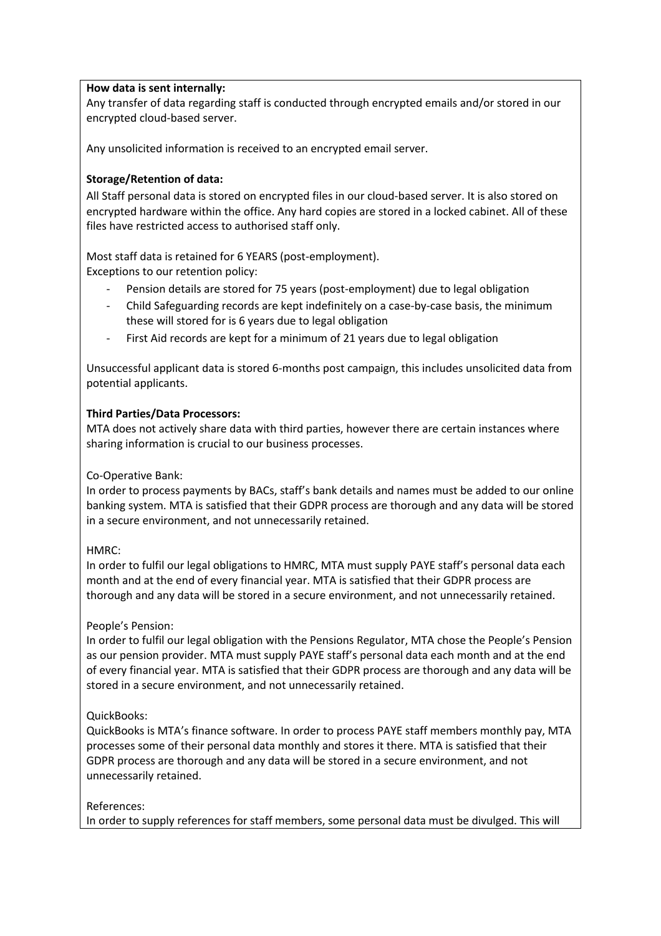#### **How data is sent internally:**

Any transfer of data regarding staff is conducted through encrypted emails and/or stored in our encrypted cloud-based server.

Any unsolicited information is received to an encrypted email server.

#### **Storage/Retention of data:**

All Staff personal data is stored on encrypted files in our cloud-based server. It is also stored on encrypted hardware within the office. Any hard copies are stored in a locked cabinet. All of these files have restricted access to authorised staff only.

Most staff data is retained for 6 YEARS (post-employment).

Exceptions to our retention policy:

- Pension details are stored for 75 years (post-employment) due to legal obligation
- Child Safeguarding records are kept indefinitely on a case-by-case basis, the minimum these will stored for is 6 years due to legal obligation
- First Aid records are kept for a minimum of 21 years due to legal obligation

Unsuccessful applicant data is stored 6-months post campaign, this includes unsolicited data from potential applicants.

#### **Third Parties/Data Processors:**

MTA does not actively share data with third parties, however there are certain instances where sharing information is crucial to our business processes.

#### Co-Operative Bank:

In order to process payments by BACs, staff's bank details and names must be added to our online banking system. MTA is satisfied that their GDPR process are thorough and any data will be stored in a secure environment, and not unnecessarily retained.

#### HMRC:

In order to fulfil our legal obligations to HMRC, MTA must supply PAYE staff's personal data each month and at the end of every financial year. MTA is satisfied that their GDPR process are thorough and any data will be stored in a secure environment, and not unnecessarily retained.

#### People's Pension:

In order to fulfil our legal obligation with the Pensions Regulator, MTA chose the People's Pension as our pension provider. MTA must supply PAYE staff's personal data each month and at the end of every financial year. MTA is satisfied that their GDPR process are thorough and any data will be stored in a secure environment, and not unnecessarily retained.

#### QuickBooks:

QuickBooks is MTA's finance software. In order to process PAYE staff members monthly pay, MTA processes some of their personal data monthly and stores it there. MTA is satisfied that their GDPR process are thorough and any data will be stored in a secure environment, and not unnecessarily retained.

#### References:

In order to supply references for staff members, some personal data must be divulged. This will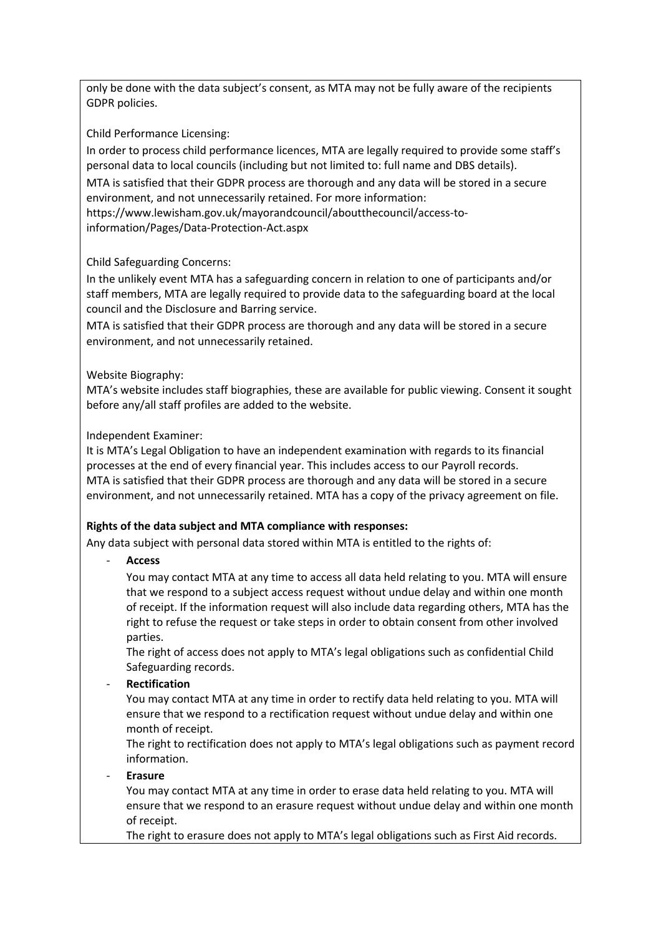only be done with the data subject's consent, as MTA may not be fully aware of the recipients GDPR policies.

Child Performance Licensing:

In order to process child performance licences, MTA are legally required to provide some staff's personal data to local councils (including but not limited to: full name and DBS details). MTA is satisfied that their GDPR process are thorough and any data will be stored in a secure environment, and not unnecessarily retained. For more information: https://www.lewisham.gov.uk/mayorandcouncil/aboutthecouncil/access-toinformation/Pages/Data-Protection-Act.aspx

Child Safeguarding Concerns:

In the unlikely event MTA has a safeguarding concern in relation to one of participants and/or staff members, MTA are legally required to provide data to the safeguarding board at the local council and the Disclosure and Barring service.

MTA is satisfied that their GDPR process are thorough and any data will be stored in a secure environment, and not unnecessarily retained.

Website Biography:

MTA's website includes staff biographies, these are available for public viewing. Consent it sought before any/all staff profiles are added to the website.

Independent Examiner:

It is MTA's Legal Obligation to have an independent examination with regards to its financial processes at the end of every financial year. This includes access to our Payroll records. MTA is satisfied that their GDPR process are thorough and any data will be stored in a secure environment, and not unnecessarily retained. MTA has a copy of the privacy agreement on file.

# **Rights of the data subject and MTA compliance with responses:**

Any data subject with personal data stored within MTA is entitled to the rights of:

- **Access** 

You may contact MTA at any time to access all data held relating to you. MTA will ensure that we respond to a subject access request without undue delay and within one month of receipt. If the information request will also include data regarding others, MTA has the right to refuse the request or take steps in order to obtain consent from other involved parties.

The right of access does not apply to MTA's legal obligations such as confidential Child Safeguarding records.

- **Rectification**

You may contact MTA at any time in order to rectify data held relating to you. MTA will ensure that we respond to a rectification request without undue delay and within one month of receipt.

The right to rectification does not apply to MTA's legal obligations such as payment record information.

- **Erasure**

You may contact MTA at any time in order to erase data held relating to you. MTA will ensure that we respond to an erasure request without undue delay and within one month of receipt.

The right to erasure does not apply to MTA's legal obligations such as First Aid records.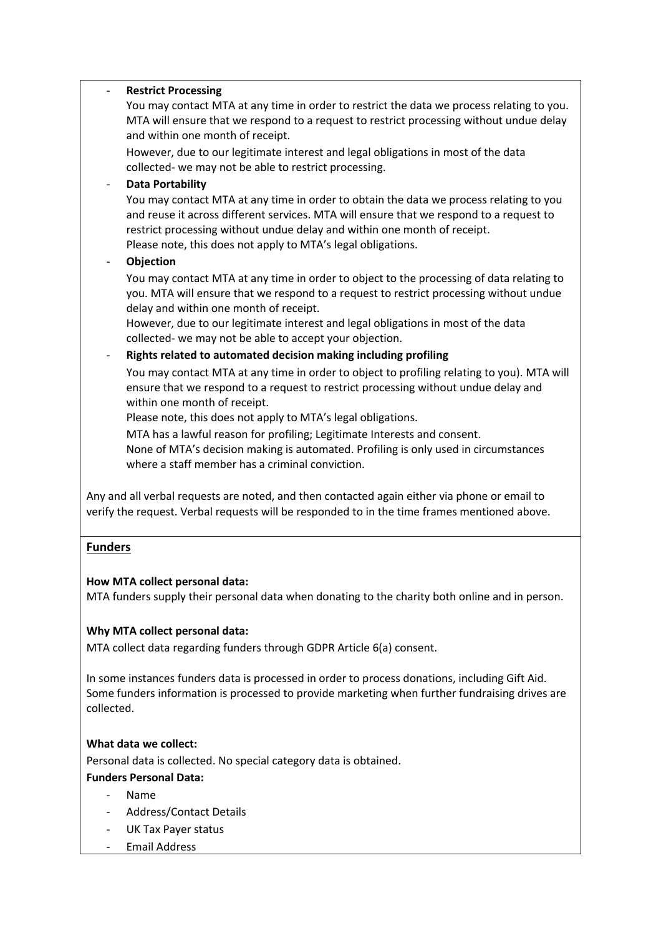| <b>Restrict Processing</b><br>You may contact MTA at any time in order to restrict the data we process relating to you.<br>MTA will ensure that we respond to a request to restrict processing without undue delay<br>and within one month of receipt.                                                                                                                       |
|------------------------------------------------------------------------------------------------------------------------------------------------------------------------------------------------------------------------------------------------------------------------------------------------------------------------------------------------------------------------------|
| However, due to our legitimate interest and legal obligations in most of the data<br>collected- we may not be able to restrict processing.                                                                                                                                                                                                                                   |
| <b>Data Portability</b>                                                                                                                                                                                                                                                                                                                                                      |
| You may contact MTA at any time in order to obtain the data we process relating to you<br>and reuse it across different services. MTA will ensure that we respond to a request to<br>restrict processing without undue delay and within one month of receipt.<br>Please note, this does not apply to MTA's legal obligations.                                                |
| Objection                                                                                                                                                                                                                                                                                                                                                                    |
| You may contact MTA at any time in order to object to the processing of data relating to<br>you. MTA will ensure that we respond to a request to restrict processing without undue<br>delay and within one month of receipt.<br>However, due to our legitimate interest and legal obligations in most of the data<br>collected- we may not be able to accept your objection. |
| Rights related to automated decision making including profiling                                                                                                                                                                                                                                                                                                              |
| You may contact MTA at any time in order to object to profiling relating to you). MTA will<br>ensure that we respond to a request to restrict processing without undue delay and<br>within one month of receipt.                                                                                                                                                             |
| Please note, this does not apply to MTA's legal obligations.                                                                                                                                                                                                                                                                                                                 |
| MTA has a lawful reason for profiling; Legitimate Interests and consent.<br>None of MTA's decision making is automated. Profiling is only used in circumstances<br>where a staff member has a criminal conviction.                                                                                                                                                           |
| Any and all verbal requests are noted, and then contacted again either via phone or email to<br>verify the request. Verbal requests will be responded to in the time frames mentioned above.                                                                                                                                                                                 |
| <b>Funders</b>                                                                                                                                                                                                                                                                                                                                                               |

# **How MTA collect personal data:**

MTA funders supply their personal data when donating to the charity both online and in person.

#### **Why MTA collect personal data:**

MTA collect data regarding funders through GDPR Article 6(a) consent.

In some instances funders data is processed in order to process donations, including Gift Aid. Some funders information is processed to provide marketing when further fundraising drives are collected.

#### **What data we collect:**

Personal data is collected. No special category data is obtained.

**Funders Personal Data:**

- Name
- Address/Contact Details
- UK Tax Payer status
- Email Address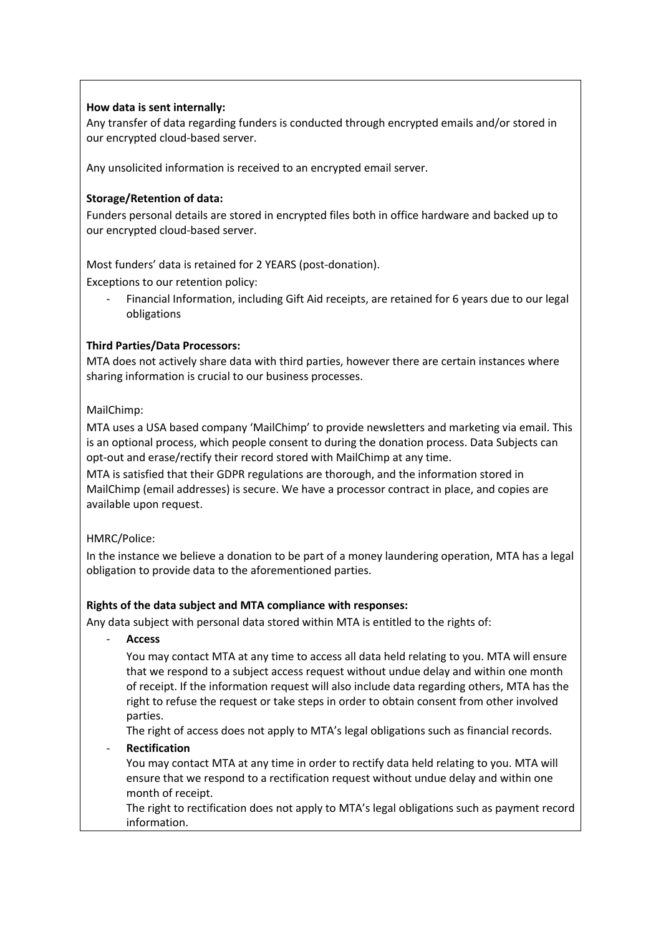#### **How data is sent internally:**

Any transfer of data regarding funders is conducted through encrypted emails and/or stored in our encrypted cloud-based server.

Any unsolicited information is received to an encrypted email server.

# **Storage/Retention of data:**

Funders personal details are stored in encrypted files both in office hardware and backed up to our encrypted cloud-based server.

Most funders' data is retained for 2 YEARS (post-donation).

Exceptions to our retention policy:

- Financial Information, including Gift Aid receipts, are retained for 6 years due to our legal obligations

# **Third Parties/Data Processors:**

MTA does not actively share data with third parties, however there are certain instances where sharing information is crucial to our business processes.

# MailChimp:

MTA uses a USA based company 'MailChimp' to provide newsletters and marketing via email. This is an optional process, which people consent to during the donation process. Data Subjects can opt-out and erase/rectify their record stored with MailChimp at any time.

MTA is satisfied that their GDPR regulations are thorough, and the information stored in MailChimp (email addresses) is secure. We have a processor contract in place, and copies are available upon request.

#### HMRC/Police:

In the instance we believe a donation to be part of a money laundering operation, MTA has a legal obligation to provide data to the aforementioned parties.

#### **Rights of the data subject and MTA compliance with responses:**

Any data subject with personal data stored within MTA is entitled to the rights of:

- **Access** 

You may contact MTA at any time to access all data held relating to you. MTA will ensure that we respond to a subject access request without undue delay and within one month of receipt. If the information request will also include data regarding others, MTA has the right to refuse the request or take steps in order to obtain consent from other involved parties.

The right of access does not apply to MTA's legal obligations such as financial records.

- **Rectification**

You may contact MTA at any time in order to rectify data held relating to you. MTA will ensure that we respond to a rectification request without undue delay and within one month of receipt.

The right to rectification does not apply to MTA's legal obligations such as payment record information.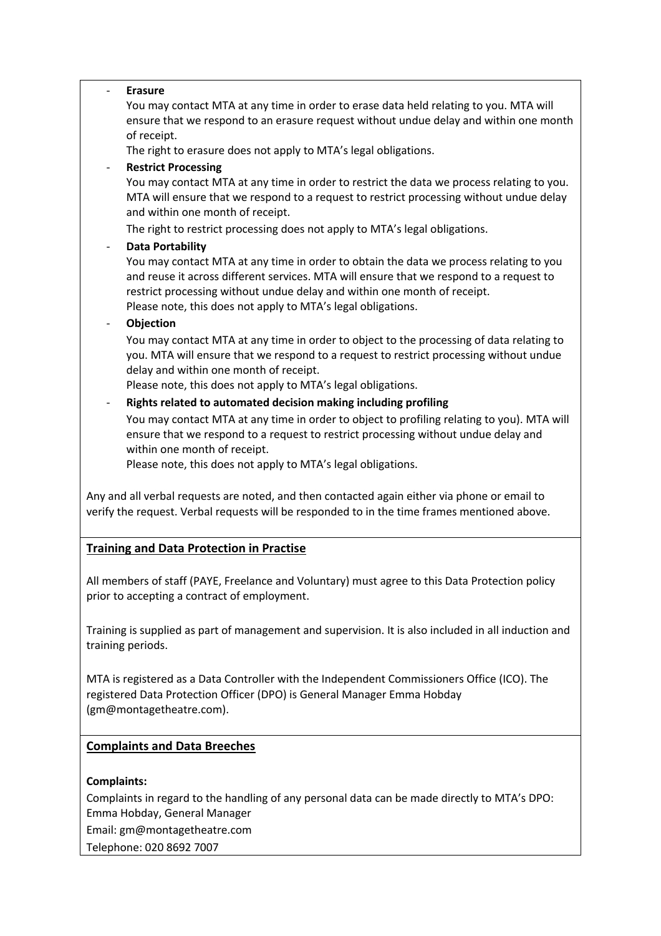| <b>Erasure</b><br>You may contact MTA at any time in order to erase data held relating to you. MTA will<br>ensure that we respond to an erasure request without undue delay and within one month<br>of receipt.<br>The right to erasure does not apply to MTA's legal obligations.<br><b>Restrict Processing</b><br>You may contact MTA at any time in order to restrict the data we process relating to you.<br>MTA will ensure that we respond to a request to restrict processing without undue delay<br>and within one month of receipt.<br>The right to restrict processing does not apply to MTA's legal obligations.                                                                                                                         |  |  |
|-----------------------------------------------------------------------------------------------------------------------------------------------------------------------------------------------------------------------------------------------------------------------------------------------------------------------------------------------------------------------------------------------------------------------------------------------------------------------------------------------------------------------------------------------------------------------------------------------------------------------------------------------------------------------------------------------------------------------------------------------------|--|--|
| <b>Data Portability</b><br>You may contact MTA at any time in order to obtain the data we process relating to you<br>and reuse it across different services. MTA will ensure that we respond to a request to<br>restrict processing without undue delay and within one month of receipt.<br>Please note, this does not apply to MTA's legal obligations.<br>Objection                                                                                                                                                                                                                                                                                                                                                                               |  |  |
| You may contact MTA at any time in order to object to the processing of data relating to<br>you. MTA will ensure that we respond to a request to restrict processing without undue<br>delay and within one month of receipt.<br>Please note, this does not apply to MTA's legal obligations.<br>Rights related to automated decision making including profiling<br>You may contact MTA at any time in order to object to profiling relating to you). MTA will<br>ensure that we respond to a request to restrict processing without undue delay and<br>within one month of receipt.<br>Please note, this does not apply to MTA's legal obligations.<br>Any and all verbal requests are noted, and then contacted again either via phone or email to |  |  |
| verify the request. Verbal requests will be responded to in the time frames mentioned above.                                                                                                                                                                                                                                                                                                                                                                                                                                                                                                                                                                                                                                                        |  |  |
| <b>Training and Data Protection in Practise</b>                                                                                                                                                                                                                                                                                                                                                                                                                                                                                                                                                                                                                                                                                                     |  |  |
| All members of staff (PAYE, Freelance and Voluntary) must agree to this Data Protection policy<br>prior to accepting a contract of employment.                                                                                                                                                                                                                                                                                                                                                                                                                                                                                                                                                                                                      |  |  |
| Training is supplied as part of management and supervision. It is also included in all induction and<br>training periods.                                                                                                                                                                                                                                                                                                                                                                                                                                                                                                                                                                                                                           |  |  |
| MTA is registered as a Data Controller with the Independent Commissioners Office (ICO). The<br>registered Data Protection Officer (DPO) is General Manager Emma Hobday<br>(gm@montagetheatre.com).                                                                                                                                                                                                                                                                                                                                                                                                                                                                                                                                                  |  |  |
| <b>Complaints and Data Breeches</b>                                                                                                                                                                                                                                                                                                                                                                                                                                                                                                                                                                                                                                                                                                                 |  |  |

### **Complaints:**

Complaints in regard to the handling of any personal data can be made directly to MTA's DPO: Emma Hobday, General Manager

Email: gm@montagetheatre.com

Telephone: 020 8692 7007